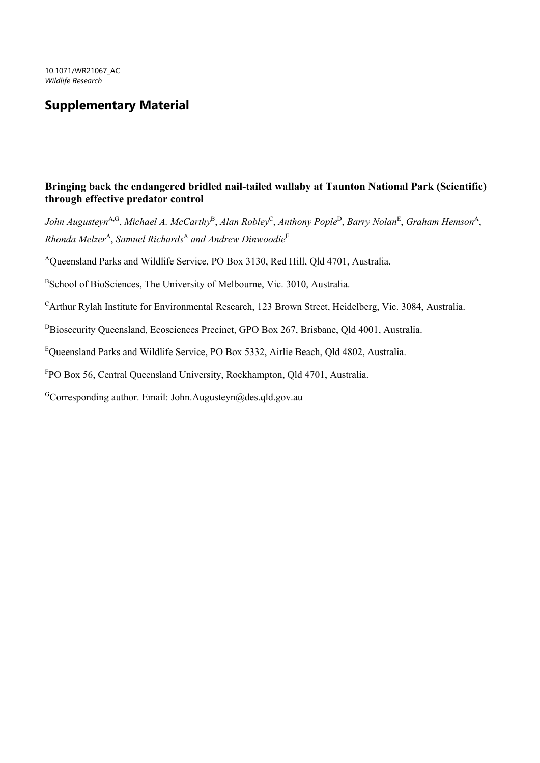## **Supplementary Material**

## **Bringing back the endangered bridled nail-tailed wallaby at Taunton National Park (Scientific) through effective predator control**

*John Augusteyn*A,G , *Michael A. McCarthy*<sup>B</sup> , *Alan Robley*<sup>C</sup> , *Anthony Pople*<sup>D</sup> , *Barry Nolan*<sup>E</sup> , *Graham Hemson*<sup>A</sup> ,  $Rhonda$  *Melzer<sup>A</sup>*, *Samuel Richards<sup>A</sup> and Andrew Dinwoodie*<sup>F</sup>

<sup>A</sup>Queensland Parks and Wildlife Service, PO Box 3130, Red Hill, Qld 4701, Australia.

<sup>B</sup>School of BioSciences, The University of Melbourne, Vic. 3010, Australia.

 $C$ Arthur Rylah Institute for Environmental Research, 123 Brown Street, Heidelberg, Vic. 3084, Australia.

<sup>D</sup>Biosecurity Queensland, Ecosciences Precinct, GPO Box 267, Brisbane, Qld 4001, Australia.

<sup>E</sup>Queensland Parks and Wildlife Service, PO Box 5332, Airlie Beach, Qld 4802, Australia.

<sup>F</sup>PO Box 56, Central Queensland University, Rockhampton, Qld 4701, Australia.

GCorresponding author. Email: John.Augusteyn@des.qld.gov.au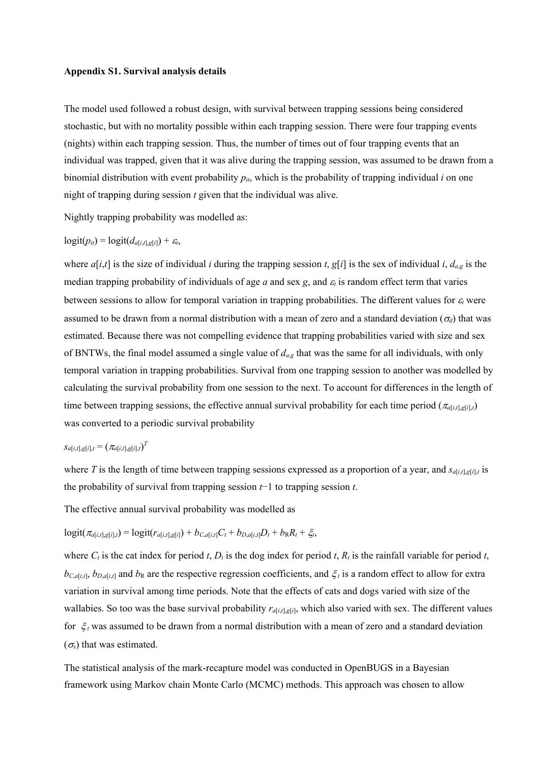## **Appendix S1. Survival analysis details**

The model used followed a robust design, with survival between trapping sessions being considered stochastic, but with no mortality possible within each trapping session. There were four trapping events (nights) within each trapping session. Thus, the number of times out of four trapping events that an individual was trapped, given that it was alive during the trapping session, was assumed to be drawn from a binomial distribution with event probability  $p_{it}$ , which is the probability of trapping individual *i* on one night of trapping during session *t* given that the individual was alive.

Nightly trapping probability was modelled as:

$$
logit(p_{it}) = logit(d_{a[i,t],g[i]}) + \varepsilon_t,
$$

where  $a[i,t]$  is the size of individual *i* during the trapping session *t*,  $g[i]$  is the sex of individual *i*,  $d_{a,g}$  is the median trapping probability of individuals of age *a* and sex *g*, and <sup>ε</sup>*<sup>t</sup>* is random effect term that varies between sessions to allow for temporal variation in trapping probabilities. The different values for <sup>ε</sup>*<sup>t</sup>* were assumed to be drawn from a normal distribution with a mean of zero and a standard deviation ( $\sigma_d$ ) that was estimated. Because there was not compelling evidence that trapping probabilities varied with size and sex of BNTWs, the final model assumed a single value of *da*,*<sup>g</sup>* that was the same for all individuals, with only temporal variation in trapping probabilities. Survival from one trapping session to another was modelled by calculating the survival probability from one session to the next. To account for differences in the length of time between trapping sessions, the effective annual survival probability for each time period ( $\pi_{a[i,t],g[i],t}$ ) was converted to a periodic survival probability

## $s_{a[i,t],g[i],t} = (\pi_{a[i,t],g[i],t})^T$

where *T* is the length of time between trapping sessions expressed as a proportion of a year, and  $s_{di,i,s[i],t}$  is the probability of survival from trapping session *t*−1 to trapping session *t*.

The effective annual survival probability was modelled as

$$
logit(\pi_{a[i,t],g[i],t}) = logit(r_{a[i,t],g[i]}) + b_{C,a[i,t]}C_t + b_{D,a[i,t]}D_t + b_RR_t + \xi_t,
$$

where  $C_t$  is the cat index for period *t*,  $D_t$  is the dog index for period *t*,  $R_t$  is the rainfall variable for period *t*,  $b_{C,a[i,t]}, b_{D,a[i,t]}$  and  $b_R$  are the respective regression coefficients, and  $\xi_t$  is a random effect to allow for extra variation in survival among time periods. Note that the effects of cats and dogs varied with size of the wallabies. So too was the base survival probability  $r_{a[i,t],g[i]}$ , which also varied with sex. The different values for ξ *<sup>t</sup>* was assumed to be drawn from a normal distribution with a mean of zero and a standard deviation  $(\sigma_s)$  that was estimated.

The statistical analysis of the mark-recapture model was conducted in OpenBUGS in a Bayesian framework using Markov chain Monte Carlo (MCMC) methods. This approach was chosen to allow